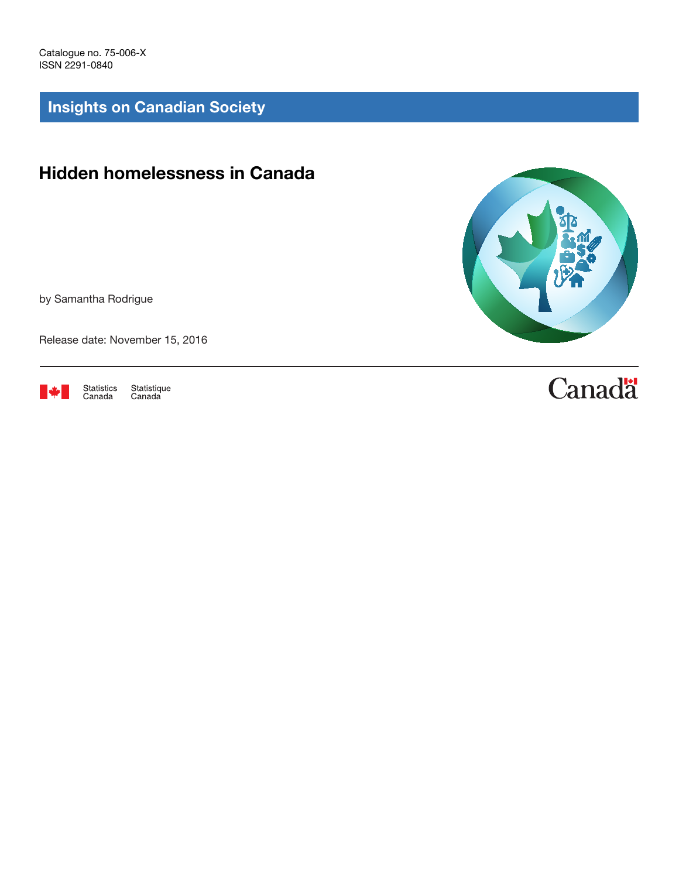Catalogue no. 75-006-X ISSN 2291-0840

Insights on Canadian Society

## Hidden homelessness in Canada

by Samantha Rodrigue

Release date: November 15, 2016



Statistique<br>Canada



# **Canadä**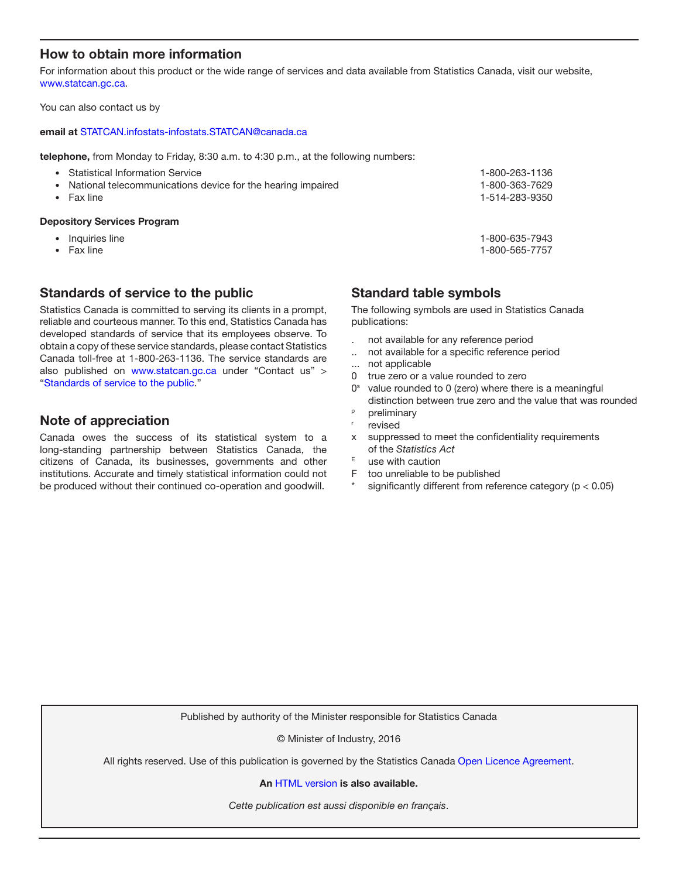## How to obtain more information

For information about this product or the wide range of services and data available from Statistics Canada, visit our website, [www.statcan.gc.ca.](http://www.statcan.gc.ca)

You can also contact us by

#### email at [STATCAN.infostats-infostats.STATCAN@canada.ca](mailto:STATCAN.infostats-infostats.STATCAN%40canada.ca?subject=)

telephone, from Monday to Friday, 8:30 a.m. to 4:30 p.m., at the following numbers:

| National telecommunications device for the hearing impaired<br>Fax line | 1-514-283-9350                   |
|-------------------------------------------------------------------------|----------------------------------|
| <b>Statistical Information Service</b>                                  | 1-800-263-1136<br>1-800-363-7629 |

- Inquiries line 1-800-635-7943
- Fax line 1-800-565-7757
- 

## Standards of service to the public

Statistics Canada is committed to serving its clients in a prompt, reliable and courteous manner. To this end, Statistics Canada has developed standards of service that its employees observe. To obtain a copy of these service standards, please contact Statistics Canada toll-free at 1-800-263-1136. The service standards are also published on www.statcan.gc.ca under "Contact us" > "[Standards of service to the public](http://www.statcan.gc.ca/eng/about/service/standards)."

## Note of appreciation

Canada owes the success of its statistical system to a long-standing partnership between Statistics Canada, the citizens of Canada, its businesses, governments and other institutions. Accurate and timely statistical information could not be produced without their continued co-operation and goodwill.

Standard table symbols

The following symbols are used in Statistics Canada publications:

- . not available for any reference period
- .. not available for a specific reference period
- not applicable
- 0 true zero or a value rounded to zero
- $0<sup>s</sup>$  value rounded to 0 (zero) where there is a meaningful distinction between true zero and the value that was rounded
- <sup>p</sup> preliminary
- revised
- x suppressed to meet the confidentiality requirements of the *Statistics Act*
- $E$  use with caution
- F too unreliable to be published
- significantly different from reference category ( $p < 0.05$ )

Published by authority of the Minister responsible for Statistics Canada

© Minister of Industry, 2016

All rights reserved. Use of this publication is governed by the Statistics Canada [Open Licence Agreement](http://www.statcan.gc.ca/eng/reference/licence-eng.htm).

An [HTML version](http://www.statcan.gc.ca/pub/75-006-x/2016001/article/14678-eng.htm) is also available.

*Cette publication est aussi disponible en français*.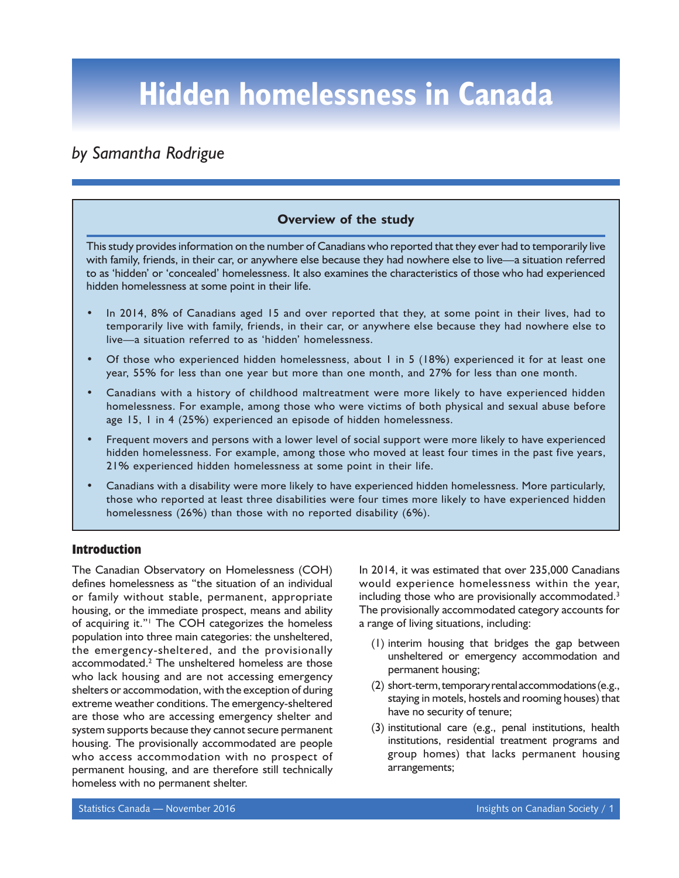## *by Samantha Rodrigue*

## **Overview of the study**

This study provides information on the number of Canadians who reported that they ever had to temporarily live with family, friends, in their car, or anywhere else because they had nowhere else to live—a situation referred to as 'hidden' or 'concealed' homelessness. It also examines the characteristics of those who had experienced hidden homelessness at some point in their life.

- In 2014, 8% of Canadians aged 15 and over reported that they, at some point in their lives, had to temporarily live with family, friends, in their car, or anywhere else because they had nowhere else to live—a situation referred to as 'hidden' homelessness.
- Of those who experienced hidden homelessness, about 1 in 5 (18%) experienced it for at least one year, 55% for less than one year but more than one month, and 27% for less than one month.
- Canadians with a history of childhood maltreatment were more likely to have experienced hidden homelessness. For example, among those who were victims of both physical and sexual abuse before age 15, 1 in 4 (25%) experienced an episode of hidden homelessness.
- Frequent movers and persons with a lower level of social support were more likely to have experienced hidden homelessness. For example, among those who moved at least four times in the past five years, 21% experienced hidden homelessness at some point in their life.
- Canadians with a disability were more likely to have experienced hidden homelessness. More particularly, those who reported at least three disabilities were four times more likely to have experienced hidden homelessness (26%) than those with no reported disability (6%).

## **Introduction**

The Canadian Observatory on Homelessness (COH) defines homelessness as "the situation of an individual or family without stable, permanent, appropriate housing, or the immediate prospect, means and ability of acquiring it."<sup>1</sup> The COH categorizes the homeless population into three main categories: the unsheltered, the emergency-sheltered, and the provisionally accommodated.2 The unsheltered homeless are those who lack housing and are not accessing emergency shelters or accommodation, with the exception of during extreme weather conditions. The emergency-sheltered are those who are accessing emergency shelter and system supports because they cannot secure permanent housing. The provisionally accommodated are people who access accommodation with no prospect of permanent housing, and are therefore still technically homeless with no permanent shelter.

In 2014, it was estimated that over 235,000 Canadians would experience homelessness within the year, including those who are provisionally accommodated.<sup>3</sup> The provisionally accommodated category accounts for a range of living situations, including:

- (1) interim housing that bridges the gap between unsheltered or emergency accommodation and permanent housing;
- (2) short-term, temporary rental accommodations (e.g., staying in motels, hostels and rooming houses) that have no security of tenure;
- (3) institutional care (e.g., penal institutions, health institutions, residential treatment programs and group homes) that lacks permanent housing arrangements;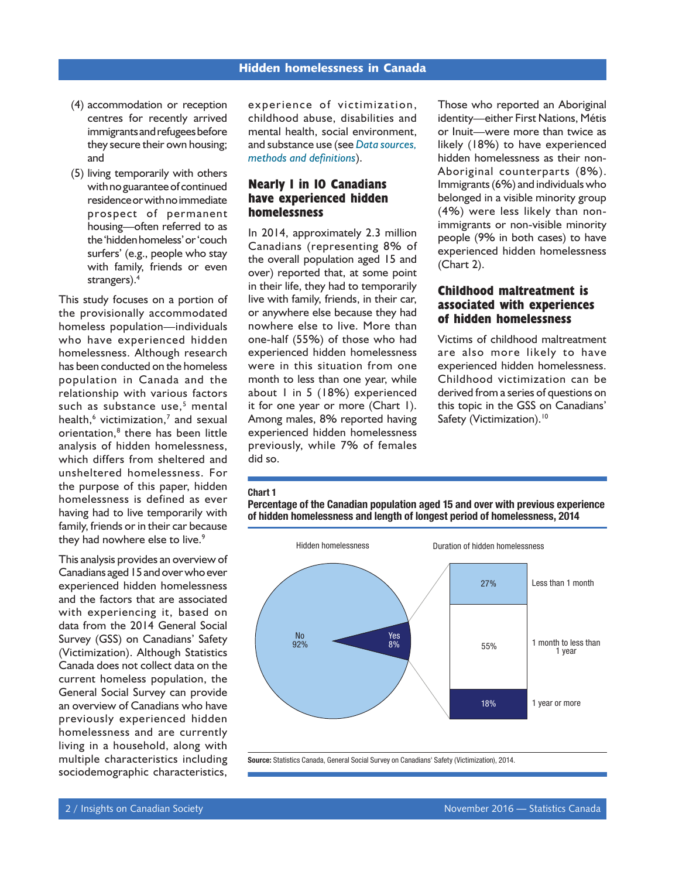- (4) accommodation or reception centres for recently arrived immigrants and refugees before they secure their own housing; and
- (5) living temporarily with others with no guarantee of continued residence or with no immediate prospect of permanent housing—often referred to as the 'hidden homeless' or 'couch surfers' (e.g., people who stay with family, friends or even strangers).<sup>4</sup>

This study focuses on a portion of the provisionally accommodated homeless population—individuals who have experienced hidden homelessness. Although research has been conducted on the homeless population in Canada and the relationship with various factors such as substance use,<sup>5</sup> mental health,<sup>6</sup> victimization,<sup>7</sup> and sexual orientation,<sup>8</sup> there has been little analysis of hidden homelessness, which differs from sheltered and unsheltered homelessness. For the purpose of this paper, hidden homelessness is defined as ever having had to live temporarily with family, friends or in their car because they had nowhere else to live.<sup>9</sup>

This analysis provides an overview of Canadians aged 15 and over who ever experienced hidden homelessness and the factors that are associated with experiencing it, based on data from the 2014 General Social Survey (GSS) on Canadians' Safety (Victimization). Although Statistics Canada does not collect data on the current homeless population, the General Social Survey can provide an overview of Canadians who have previously experienced hidden homelessness and are currently living in a household, along with multiple characteristics including sociodemographic characteristics,

experience of victimization, childhood abuse, disabilities and mental health, social environment, and substance use (see *[Data sources,](#page-11-0) [methods and definitions](#page-11-0)*).

## **Nearly 1 in 10 Canadians have experienced hidden homelessness**

In 2014, approximately 2.3 million Canadians (representing 8% of the overall population aged 15 and over) reported that, at some point in their life, they had to temporarily live with family, friends, in their car, or anywhere else because they had nowhere else to live. More than one-half (55%) of those who had experienced hidden homelessness were in this situation from one month to less than one year, while about 1 in 5 (18%) experienced it for one year or more (Chart 1). Among males, 8% reported having experienced hidden homelessness previously, while 7% of females did so.

Those who reported an Aboriginal identity—either First Nations, Métis or Inuit—were more than twice as likely (18%) to have experienced hidden homelessness as their non-Aboriginal counterparts (8%). Immigrants (6%) and individuals who belonged in a visible minority group (4%) were less likely than nonimmigrants or non-visible minority people (9% in both cases) to have experienced hidden homelessness (Chart 2).

## **Childhood maltreatment is associated with experiences of hidden homelessness**

Victims of childhood maltreatment are also more likely to have experienced hidden homelessness. Childhood victimization can be derived from a series of questions on this topic in the GSS on Canadians' Safety (Victimization).<sup>10</sup>

#### Chart 1

Percentage of the Canadian population aged 15 and over with previous experience of hidden homelessness and length of longest period of homelessness, 2014



Source: Statistics Canada, General Social Survey on Canadians' Safety (Victimization), 2014.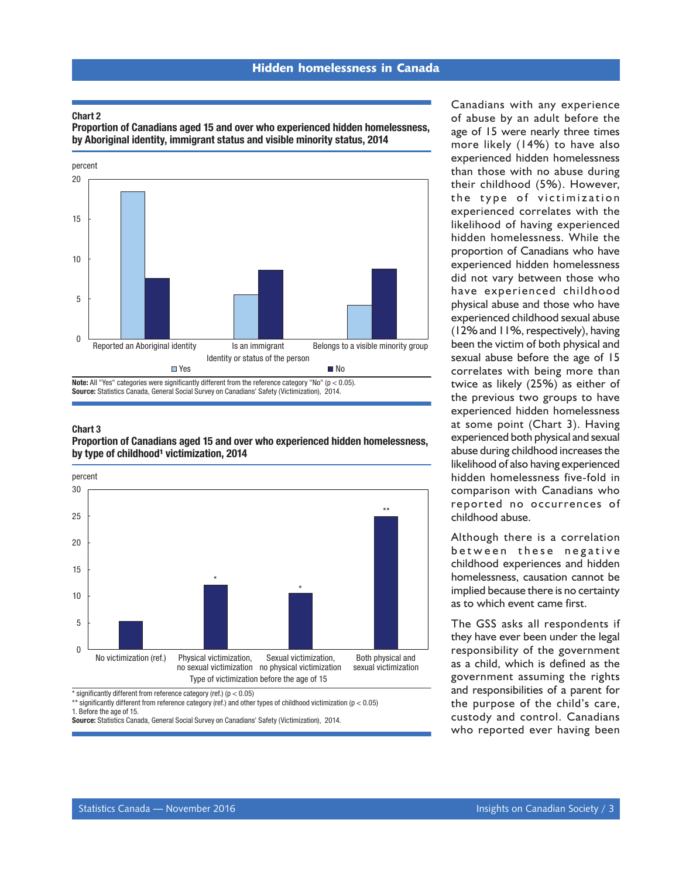#### Chart 2

Proportion of Canadians aged 15 and over who experienced hidden homelessness, by Aboriginal identity, immigrant status and visible minority status, 2014



#### Chart 3 Proportion of Canadians aged 15 and over who experienced hidden homelessness, by type of childhood<sup>1</sup> victimization, 2014



 $*$  significantly different from reference category (ref.) ( $p < 0.05$ )

\*\* significantly different from reference category (ref.) and other types of childhood victimization (p < 0.05)

1. Before the age of 15.

Source: Statistics Canada, General Social Survey on Canadians' Safety (Victimization), 2014.

Canadians with any experience of abuse by an adult before the age of 15 were nearly three times more likely (14%) to have also experienced hidden homelessness than those with no abuse during their childhood (5%). However, the type of victimization experienced correlates with the likelihood of having experienced hidden homelessness. While the proportion of Canadians who have experienced hidden homelessness did not vary between those who have experienced childhood physical abuse and those who have experienced childhood sexual abuse (12% and 11%, respectively), having been the victim of both physical and sexual abuse before the age of 15 correlates with being more than twice as likely (25%) as either of the previous two groups to have experienced hidden homelessness at some point (Chart 3). Having experienced both physical and sexual abuse during childhood increases the likelihood of also having experienced hidden homelessness five-fold in comparison with Canadians who reported no occurrences of childhood abuse.

Although there is a correlation between these negative childhood experiences and hidden homelessness, causation cannot be implied because there is no certainty as to which event came first.

The GSS asks all respondents if they have ever been under the legal responsibility of the government as a child, which is defined as the government assuming the rights and responsibilities of a parent for the purpose of the child's care, custody and control. Canadians who reported ever having been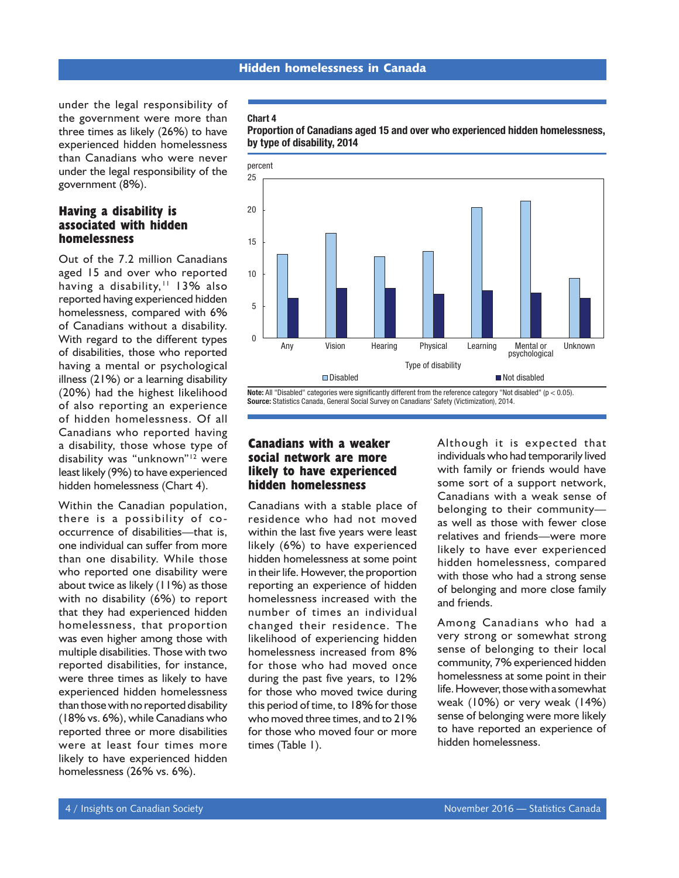under the legal responsibility of the government were more than three times as likely (26%) to have experienced hidden homelessness than Canadians who were never under the legal responsibility of the government (8%).

## **Having a disability is associated with hidden homelessness**

Out of the 7.2 million Canadians aged 15 and over who reported having a disability,<sup>11</sup> 13% also reported having experienced hidden homelessness, compared with 6% of Canadians without a disability. With regard to the different types of disabilities, those who reported having a mental or psychological illness (21%) or a learning disability (20%) had the highest likelihood of also reporting an experience of hidden homelessness. Of all Canadians who reported having a disability, those whose type of disability was "unknown"12 were least likely (9%) to have experienced hidden homelessness (Chart 4).

Within the Canadian population, there is a possibility of cooccurrence of disabilities—that is, one individual can suffer from more than one disability. While those who reported one disability were about twice as likely  $(11%)$  as those with no disability (6%) to report that they had experienced hidden homelessness, that proportion was even higher among those with multiple disabilities. Those with two reported disabilities, for instance, were three times as likely to have experienced hidden homelessness than those with no reported disability (18% vs. 6%), while Canadians who reported three or more disabilities were at least four times more likely to have experienced hidden homelessness (26% vs. 6%).

#### Chart 4





Note: All "Disabled" categories were significantly different from the reference category "Not disabled" ( $p < 0.05$ ). Source: Statistics Canada, General Social Survey on Canadians' Safety (Victimization), 2014.

## **Canadians with a weaker social network are more likely to have experienced hidden homelessness**

Canadians with a stable place of residence who had not moved within the last five years were least likely (6%) to have experienced hidden homelessness at some point in their life. However, the proportion reporting an experience of hidden homelessness increased with the number of times an individual changed their residence. The likelihood of experiencing hidden homelessness increased from 8% for those who had moved once during the past five years, to 12% for those who moved twice during this period of time, to 18% for those who moved three times, and to 21% for those who moved four or more times (Table 1).

Although it is expected that individuals who had temporarily lived with family or friends would have some sort of a support network, Canadians with a weak sense of belonging to their community as well as those with fewer close relatives and friends—were more likely to have ever experienced hidden homelessness, compared with those who had a strong sense of belonging and more close family and friends.

Among Canadians who had a very strong or somewhat strong sense of belonging to their local community, 7% experienced hidden homelessness at some point in their life. However, those with a somewhat weak (10%) or very weak (14%) sense of belonging were more likely to have reported an experience of hidden homelessness.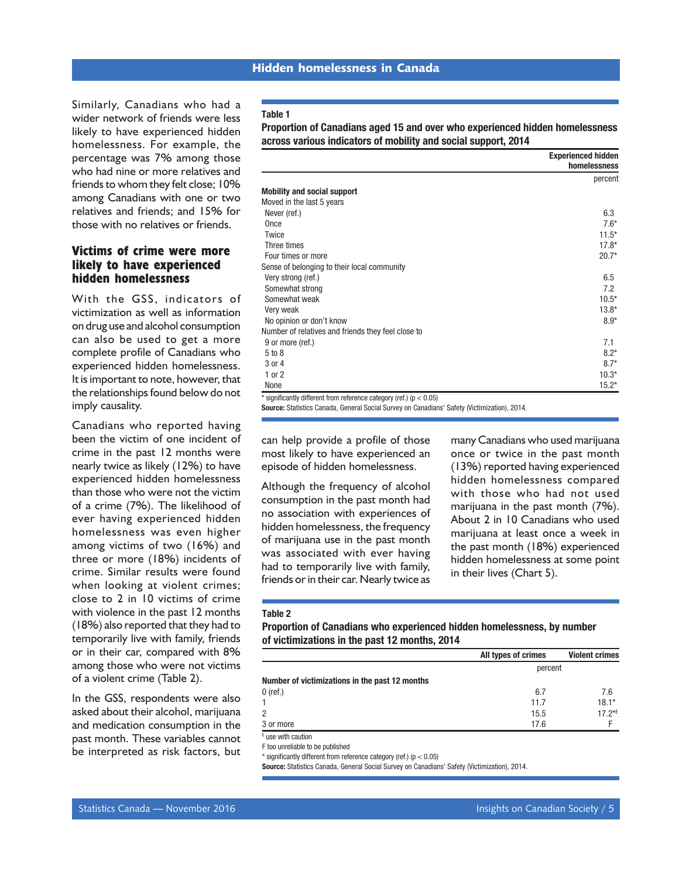Similarly, Canadians who had a wider network of friends were less likely to have experienced hidden homelessness. For example, the percentage was 7% among those who had nine or more relatives and friends to whom they felt close; 10% among Canadians with one or two relatives and friends; and 15% for those with no relatives or friends.

## **Victims of crime were more likely to have experienced hidden homelessness**

With the GSS, indicators of victimization as well as information on drug use and alcohol consumption can also be used to get a more complete profile of Canadians who experienced hidden homelessness. It is important to note, however, that the relationships found below do not imply causality.

Canadians who reported having been the victim of one incident of crime in the past 12 months were nearly twice as likely (12%) to have experienced hidden homelessness than those who were not the victim of a crime (7%). The likelihood of ever having experienced hidden homelessness was even higher among victims of two (16%) and three or more (18%) incidents of crime. Similar results were found when looking at violent crimes; close to 2 in 10 victims of crime with violence in the past 12 months (18%) also reported that they had to temporarily live with family, friends or in their car, compared with 8% among those who were not victims of a violent crime (Table 2).

In the GSS, respondents were also asked about their alcohol, marijuana and medication consumption in the past month. These variables cannot be interpreted as risk factors, but

#### Table 1

Proportion of Canadians aged 15 and over who experienced hidden homelessness across various indicators of mobility and social support, 2014

|                                                                         | <b>Experienced hidden</b><br>homelessness |
|-------------------------------------------------------------------------|-------------------------------------------|
|                                                                         | percent                                   |
| <b>Mobility and social support</b>                                      |                                           |
| Moved in the last 5 years                                               |                                           |
| Never (ref.)                                                            | 6.3                                       |
| Once                                                                    | $7.6*$                                    |
| Twice                                                                   | $11.5*$                                   |
| Three times                                                             | $17.8*$                                   |
| Four times or more                                                      | $20.7*$                                   |
| Sense of belonging to their local community                             |                                           |
| Very strong (ref.)                                                      | 6.5                                       |
| Somewhat strong                                                         | 7.2                                       |
| Somewhat weak                                                           | $10.5*$                                   |
| Very weak                                                               | $13.8*$                                   |
| No opinion or don't know                                                | $8.9*$                                    |
| Number of relatives and friends they feel close to                      |                                           |
| 9 or more (ref.)                                                        | 7.1                                       |
| 5 to 8                                                                  | $8.2*$                                    |
| 3 or 4                                                                  | $8.7*$                                    |
| 1 or 2                                                                  | $10.3*$                                   |
| None                                                                    | $15.2*$                                   |
| * significantly different from reference category (ref.) ( $p < 0.05$ ) |                                           |

Source: Statistics Canada, General Social Survey on Canadians' Safety (Victimization), 2014.

can help provide a profile of those most likely to have experienced an episode of hidden homelessness.

Although the frequency of alcohol consumption in the past month had no association with experiences of hidden homelessness, the frequency of marijuana use in the past month was associated with ever having had to temporarily live with family, friends or in their car. Nearly twice as

many Canadians who used marijuana once or twice in the past month (13%) reported having experienced hidden homelessness compared with those who had not used marijuana in the past month (7%). About 2 in 10 Canadians who used marijuana at least once a week in the past month (18%) experienced hidden homelessness at some point in their lives (Chart 5).

#### Table 2

Proportion of Canadians who experienced hidden homelessness, by number of victimizations in the past 12 months, 2014

|                                                | All types of crimes | <b>Violent crimes</b> |  |
|------------------------------------------------|---------------------|-----------------------|--|
|                                                | percent             |                       |  |
| Number of victimizations in the past 12 months |                     |                       |  |
| $0$ (ref.)                                     | 6.7                 | 7.6                   |  |
|                                                | 11.7                | $18.1*$               |  |
| $\overline{2}$                                 | 15.5                | $17.2*E$              |  |
| 3 or more                                      | 17.6                |                       |  |
| $\mathbf{r}$<br>$\cdots$                       |                     |                       |  |

E use with caution

F too unreliable to be published

 $*$  significantly different from reference category (ref.) ( $p < 0.05$ )

Source: Statistics Canada, General Social Survey on Canadians' Safety (Victimization), 2014.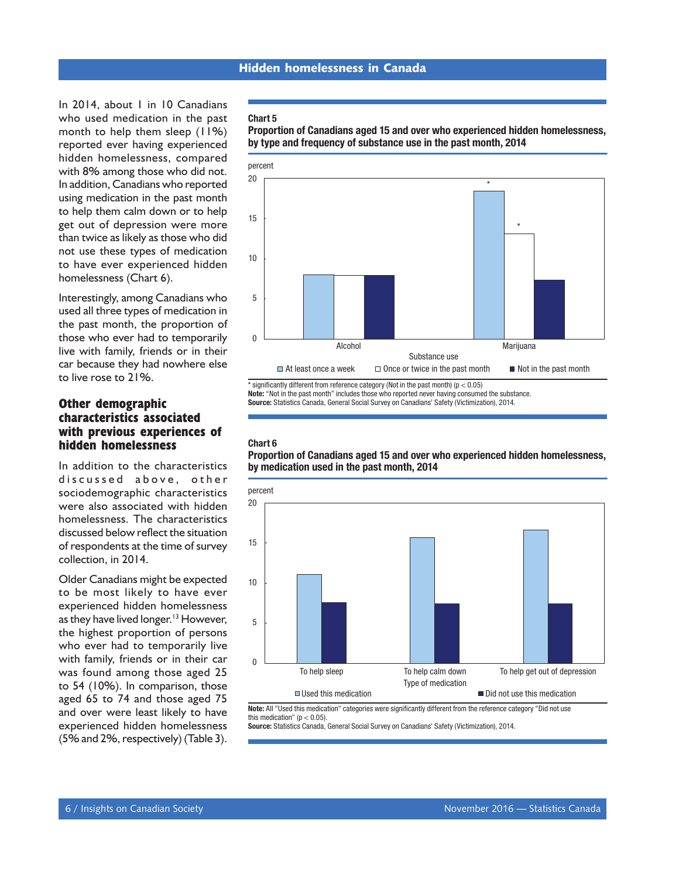In 2014, about 1 in 10 Canadians who used medication in the past month to help them sleep (11%) reported ever having experienced hidden homelessness, compared with 8% among those who did not. In addition, Canadians who reported using medication in the past month to help them calm down or to help get out of depression were more than twice as likely as those who did not use these types of medication to have ever experienced hidden homelessness (Chart 6).

Interestingly, among Canadians who used all three types of medication in the past month, the proportion of those who ever had to temporarily live with family, friends or in their car because they had nowhere else to live rose to 21%.

## **Other demographic characteristics associated with previous experiences of hidden homelessness**

In addition to the characteristics discussed above, other sociodemographic characteristics were also associated with hidden homelessness. The characteristics discussed below reflect the situation of respondents at the time of survey collection, in 2014.

Older Canadians might be expected to be most likely to have ever experienced hidden homelessness as they have lived longer.<sup>13</sup> However, the highest proportion of persons who ever had to temporarily live with family, friends or in their car was found among those aged 25 to 54 (10%). In comparison, those aged 65 to 74 and those aged 75 and over were least likely to have experienced hidden homelessness (5% and 2%, respectively) (Table 3).

#### Chart 5





 $*$  significantly different from reference category (Not in the past month) ( $p < 0.05$ ) Note: "Not in the past month" includes those who reported never having consumed the substance. Source: Statistics Canada, General Social Survey on Canadians' Safety (Victimization), 2014.

#### Chart 6

Proportion of Canadians aged 15 and over who experienced hidden homelessness, by medication used in the past month, 2014



Note: All "Used this medication" categories were significantly different from the reference category "Did not use this medication" ( $p < 0.05$ ).

Source: Statistics Canada, General Social Survey on Canadians' Safety (Victimization), 2014.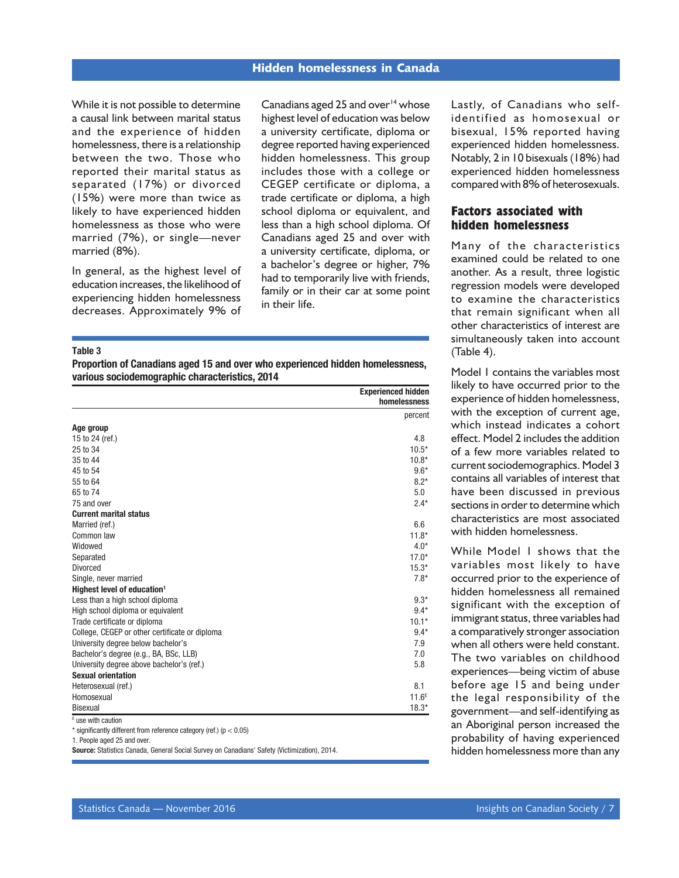While it is not possible to determine a causal link between marital status and the experience of hidden homelessness, there is a relationship between the two. Those who reported their marital status as separated (17%) or divorced (15%) were more than twice as likely to have experienced hidden homelessness as those who were married (7%), or single—never married (8%).

In general, as the highest level of education increases, the likelihood of experiencing hidden homelessness decreases. Approximately 9% of

Canadians aged 25 and over $14$  whose highest level of education was below a university certificate, diploma or degree reported having experienced hidden homelessness. This group includes those with a college or CEGEP certificate or diploma, a trade certificate or diploma, a high school diploma or equivalent, and less than a high school diploma. Of Canadians aged 25 and over with a university certificate, diploma, or a bachelor's degree or higher, 7% had to temporarily live with friends, family or in their car at some point in their life.

#### Table 3

Proportion of Canadians aged 15 and over who experienced hidden homelessness, various sociodemographic characteristics, 2014

|                                                | <b>Experienced hidden</b><br>homelessness |
|------------------------------------------------|-------------------------------------------|
|                                                | percent                                   |
| Age group                                      |                                           |
| 15 to 24 (ref.)                                | 4.8                                       |
| 25 to 34                                       | $10.5*$                                   |
| 35 to 44                                       | $10.8*$                                   |
| 45 to 54                                       | $9.6*$                                    |
| 55 to 64                                       | $8.2*$                                    |
| 65 to 74                                       | 5.0                                       |
| 75 and over                                    | $2.4*$                                    |
| <b>Current marital status</b>                  |                                           |
| Married (ref.)                                 | 6.6                                       |
| Common law                                     | $11.8*$                                   |
| Widowed                                        | $4.0*$                                    |
| Separated                                      | $17.0*$                                   |
| Divorced                                       | $15.3*$                                   |
| Single, never married                          | $7.8*$                                    |
| Highest level of education <sup>1</sup>        |                                           |
| Less than a high school diploma                | $9.3*$                                    |
| High school diploma or equivalent              | $9.4*$                                    |
| Trade certificate or diploma                   | $10.1*$                                   |
| College, CEGEP or other certificate or diploma | $9.4*$                                    |
| University degree below bachelor's             | 7.9                                       |
| Bachelor's degree (e.g., BA, BSc, LLB)         | 7.0                                       |
| University degree above bachelor's (ref.)      | 5.8                                       |
| <b>Sexual orientation</b>                      |                                           |
| Heterosexual (ref.)                            | 8.1                                       |
| Homosexual                                     | 11.6 <sup>E</sup>                         |
| Bisexual                                       | $18.3*$                                   |
| E use with caution                             |                                           |

\* significantly different from reference category (ref.) (p < 0.05)

1. People aged 25 and over.

Source: Statistics Canada, General Social Survey on Canadians' Safety (Victimization), 2014.

Lastly, of Canadians who selfidentified as homosexual or bisexual, 15% reported having experienced hidden homelessness. Notably, 2 in 10 bisexuals (18%) had experienced hidden homelessness compared with 8% of heterosexuals.

### **Factors associated with hidden homelessness**

Many of the characteristics examined could be related to one another. As a result, three logistic regression models were developed to examine the characteristics that remain significant when all other characteristics of interest are simultaneously taken into account (Table 4).

Model 1 contains the variables most likely to have occurred prior to the experience of hidden homelessness, with the exception of current age, which instead indicates a cohort effect. Model 2 includes the addition of a few more variables related to current sociodemographics. Model 3 contains all variables of interest that have been discussed in previous sections in order to determine which characteristics are most associated with hidden homelessness.

While Model 1 shows that the variables most likely to have occurred prior to the experience of hidden homelessness all remained significant with the exception of immigrant status, three variables had a comparatively stronger association when all others were held constant. The two variables on childhood experiences—being victim of abuse before age 15 and being under the legal responsibility of the government—and self-identifying as an Aboriginal person increased the probability of having experienced hidden homelessness more than any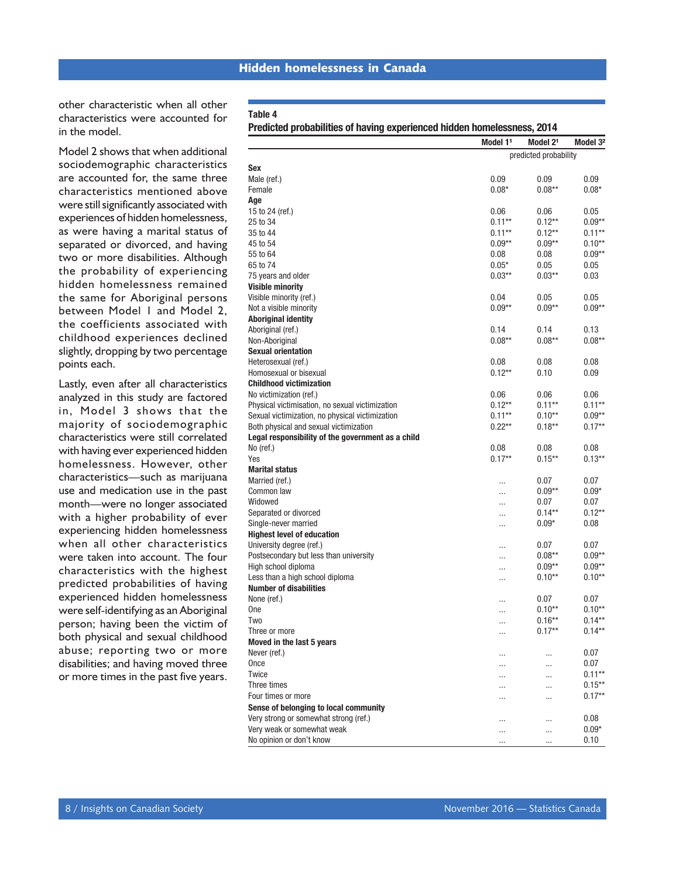other characteristic when all other characteristics were accounted for in the model.

Model 2 shows that when additional sociodemographic characteristics are accounted for, the same three characteristics mentioned above were still significantly associated with experiences of hidden homelessness, as were having a marital status of separated or divorced, and having two or more disabilities. Although the probability of experiencing hidden homelessness remained the same for Aboriginal persons between Model 1 and Model 2, the coefficients associated with childhood experiences declined slightly, dropping by two percentage points each.

Lastly, even after all characteristics analyzed in this study are factored in, Model 3 shows that the majority of sociodemographic characteristics were still correlated with having ever experienced hidden homelessness. However, other characteristics—such as marijuana use and medication use in the past month—were no longer associated with a higher probability of ever experiencing hidden homelessness when all other characteristics were taken into account. The four characteristics with the highest predicted probabilities of having experienced hidden homelessness were self-identifying as an Aboriginal person; having been the victim of both physical and sexual childhood abuse; reporting two or more disabilities; and having moved three or more times in the past five years.

#### Dredicted probabilities of having experienced hidden homelessness, 2014

| ד וסטוטנסט provided by the matrice of the contract in the control of the control of the control of the control o |                      |                       |                      |
|------------------------------------------------------------------------------------------------------------------|----------------------|-----------------------|----------------------|
|                                                                                                                  | Model 1 <sup>1</sup> | Model 2 <sup>1</sup>  | Model 3 <sup>2</sup> |
|                                                                                                                  |                      | predicted probability |                      |
| <b>Sex</b>                                                                                                       |                      |                       |                      |
| Male (ref.)                                                                                                      | 0.09                 | 0.09                  | 0.09                 |
| Female                                                                                                           | $0.08*$              | $0.08**$              | $0.08*$              |
| Age                                                                                                              |                      |                       |                      |
| 15 to 24 (ref.)                                                                                                  | 0.06                 | 0.06                  | 0.05                 |
| 25 to 34                                                                                                         | $0.11***$            | $0.12***$             | $0.09**$             |
| 35 to 44                                                                                                         | $0.11**$             | $0.12**$              | $0.11***$            |
| 45 to 54                                                                                                         | $0.09**$             | $0.09**$              | $0.10**$             |
| 55 to 64                                                                                                         | 0.08                 | 0.08                  | $0.09**$             |
| 65 to 74                                                                                                         | $0.05*$              | 0.05                  | 0.05                 |
| 75 years and older                                                                                               | $0.03***$            | $0.03***$             | 0.03                 |
| <b>Visible minority</b>                                                                                          |                      |                       |                      |
| Visible minority (ref.)                                                                                          | 0.04                 | 0.05                  | 0.05                 |
| Not a visible minority                                                                                           | $0.09**$             | $0.09**$              | $0.09**$             |
| <b>Aboriginal identity</b>                                                                                       |                      |                       |                      |
| Aboriginal (ref.)                                                                                                | 0.14                 | 0.14                  | 0.13                 |
| Non-Aboriginal                                                                                                   | $0.08***$            | $0.08***$             | $0.08***$            |
| <b>Sexual orientation</b>                                                                                        |                      |                       |                      |
| Heterosexual (ref.)                                                                                              | 0.08                 | 0.08                  | 0.08                 |
| Homosexual or bisexual                                                                                           | $0.12***$            | 0.10                  | 0.09                 |
| <b>Childhood victimization</b>                                                                                   |                      |                       |                      |
| No victimization (ref.)                                                                                          | 0.06                 | 0.06                  | 0.06                 |
| Physical victimisation, no sexual victimization                                                                  | $0.12***$            | $0.11**$              | $0.11**$             |
| Sexual victimization, no physical victimization                                                                  | $0.11***$            | $0.10**$              | $0.09**$             |
| Both physical and sexual victimization                                                                           | $0.22***$            | $0.18***$             | $0.17**$             |
| Legal responsibility of the government as a child                                                                |                      |                       |                      |
| No (ref.)                                                                                                        | 0.08                 | 0.08                  | 0.08                 |
| Yes                                                                                                              | $0.17**$             | $0.15***$             | $0.13***$            |
| Marital status                                                                                                   |                      |                       |                      |
| Married (ref.)                                                                                                   |                      | 0.07                  | 0.07                 |
| Common law                                                                                                       |                      | $0.09**$              | $0.09*$              |
| Widowed                                                                                                          |                      | 0.07                  | 0.07                 |
| Separated or divorced                                                                                            |                      | $0.14**$              | $0.12***$            |
| Single-never married                                                                                             |                      | $0.09*$               | 0.08                 |
| <b>Highest level of education</b>                                                                                |                      |                       |                      |
| University degree (ref.)                                                                                         | .                    | 0.07                  | 0.07                 |
| Postsecondary but less than university                                                                           |                      | $0.08***$             | $0.09**$             |
| High school diploma                                                                                              |                      | $0.09**$              | $0.09**$             |
| Less than a high school diploma                                                                                  |                      | $0.10**$              | $0.10**$             |
| <b>Number of disabilities</b>                                                                                    |                      |                       |                      |
| None (ref.)                                                                                                      |                      | 0.07                  | 0.07                 |
| One                                                                                                              |                      | $0.10**$              | $0.10**$             |
| Two                                                                                                              |                      | $0.16***$             | $0.14**$             |
| Three or more                                                                                                    |                      | $0.17**$              | $0.14***$            |
| Moved in the last 5 years                                                                                        |                      |                       |                      |
| Never (ref.)                                                                                                     |                      |                       | 0.07                 |
| Once                                                                                                             |                      |                       | 0.07                 |
| Twice                                                                                                            | $\cdots$             | $\cdots$              | $0.11**$             |
| Three times                                                                                                      | $\cdots$             |                       | $0.15***$            |
| Four times or more                                                                                               | .                    |                       | $0.17**$             |
|                                                                                                                  | $\cdots$             |                       |                      |
| Sense of belonging to local community                                                                            |                      |                       |                      |
| Very strong or somewhat strong (ref.)                                                                            | $\cdots$             | $\cdots$              | 0.08                 |
| Very weak or somewhat weak                                                                                       | .                    |                       | $0.09*$              |
| No opinion or don't know                                                                                         |                      |                       | 0.10                 |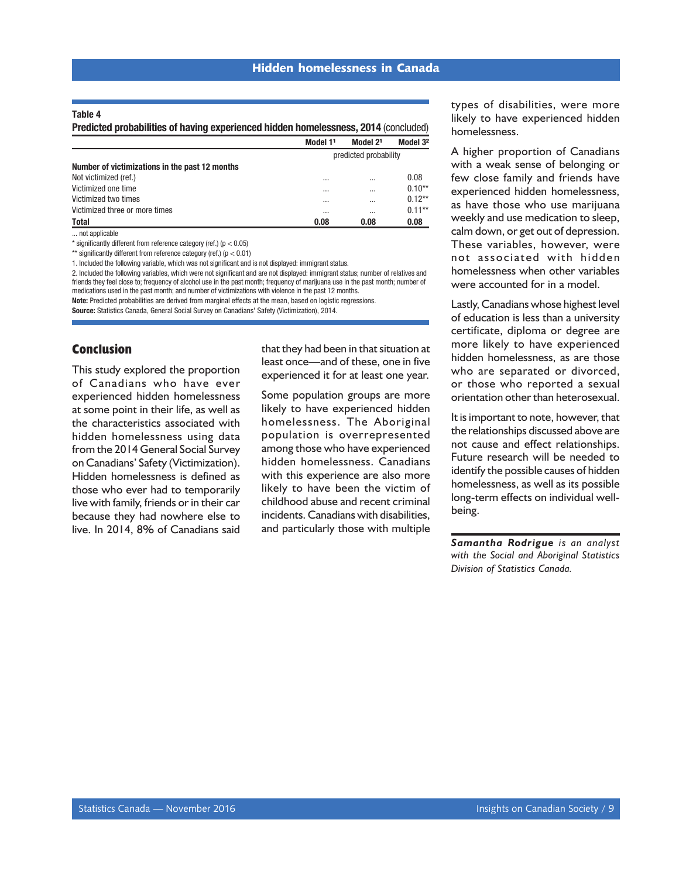#### Table 4

Predicted probabilities of having experienced hidden homelessness, 2014 (concluded)

|                                                | Model 11              | Model 21 | Model 3 <sup>2</sup> |
|------------------------------------------------|-----------------------|----------|----------------------|
|                                                | predicted probability |          |                      |
| Number of victimizations in the past 12 months |                       |          |                      |
| Not victimized (ref.)                          | $\cdots$              | $\cdots$ | 0.08                 |
| Victimized one time                            | $\cdots$              | $\cdots$ | $0.10**$             |
| Victimized two times                           | $\cdots$              | $\cdots$ | $0.12***$            |
| Victimized three or more times                 | $\cdots$              | $\cdots$ | $0.11**$             |
| <b>Total</b>                                   | 0.08                  | 0.08     | 0.08                 |

... not applicable

\* significantly different from reference category (ref.) ( $p < 0.05$ )

\*\* significantly different from reference category (ref.) ( $p < 0.01$ )

1. Included the following variable, which was not significant and is not displayed: immigrant status.

2. Included the following variables, which were not significant and are not displayed: immigrant status; number of relatives and friends they feel close to; frequency of alcohol use in the past month; frequency of marijuana use in the past month; number of medications used in the past month; and number of victimizations with violence in the past 12 months.

Note: Predicted probabilities are derived from marginal effects at the mean, based on logistic regressions.

Source: Statistics Canada, General Social Survey on Canadians' Safety (Victimization), 2014.

#### **Conclusion**

This study explored the proportion of Canadians who have ever experienced hidden homelessness at some point in their life, as well as the characteristics associated with hidden homelessness using data from the 2014 General Social Survey on Canadians' Safety (Victimization). Hidden homelessness is defined as those who ever had to temporarily live with family, friends or in their car because they had nowhere else to live. In 2014, 8% of Canadians said that they had been in that situation at least once—and of these, one in five experienced it for at least one year.

Some population groups are more likely to have experienced hidden homelessness. The Aboriginal population is overrepresented among those who have experienced hidden homelessness. Canadians with this experience are also more likely to have been the victim of childhood abuse and recent criminal incidents. Canadians with disabilities, and particularly those with multiple

types of disabilities, were more likely to have experienced hidden homelessness.

A higher proportion of Canadians with a weak sense of belonging or few close family and friends have experienced hidden homelessness, as have those who use marijuana weekly and use medication to sleep, calm down, or get out of depression. These variables, however, were not associated with hidden homelessness when other variables were accounted for in a model.

Lastly, Canadians whose highest level of education is less than a university certificate, diploma or degree are more likely to have experienced hidden homelessness, as are those who are separated or divorced, or those who reported a sexual orientation other than heterosexual.

It is important to note, however, that the relationships discussed above are not cause and effect relationships. Future research will be needed to identify the possible causes of hidden homelessness, as well as its possible long-term effects on individual wellbeing.

*Samantha Rodrigue is an analyst with the Social and Aboriginal Statistics Division of Statistics Canada.*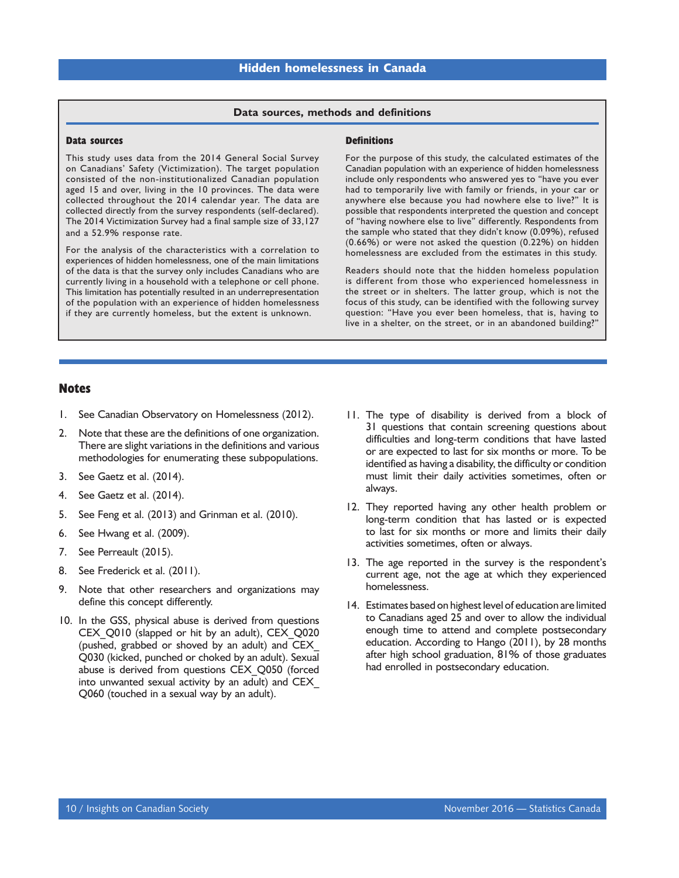#### **Data sources, methods and definitions**

#### <span id="page-11-0"></span>**Data sources**

This study uses data from the 2014 General Social Survey on Canadians' Safety (Victimization). The target population consisted of the non-institutionalized Canadian population aged 15 and over, living in the 10 provinces. The data were collected throughout the 2014 calendar year. The data are collected directly from the survey respondents (self-declared). The 2014 Victimization Survey had a final sample size of 33,127 and a 52.9% response rate.

For the analysis of the characteristics with a correlation to experiences of hidden homelessness, one of the main limitations of the data is that the survey only includes Canadians who are currently living in a household with a telephone or cell phone. This limitation has potentially resulted in an underrepresentation of the population with an experience of hidden homelessness if they are currently homeless, but the extent is unknown.

#### **Definitions**

For the purpose of this study, the calculated estimates of the Canadian population with an experience of hidden homelessness include only respondents who answered yes to "have you ever had to temporarily live with family or friends, in your car or anywhere else because you had nowhere else to live?" It is possible that respondents interpreted the question and concept of "having nowhere else to live" differently. Respondents from the sample who stated that they didn't know (0.09%), refused (0.66%) or were not asked the question (0.22%) on hidden homelessness are excluded from the estimates in this study.

Readers should note that the hidden homeless population is different from those who experienced homelessness in the street or in shelters. The latter group, which is not the focus of this study, can be identified with the following survey question: "Have you ever been homeless, that is, having to live in a shelter, on the street, or in an abandoned building?"

#### **Notes**

- 1. See Canadian Observatory on Homelessness (2012).
- 2. Note that these are the definitions of one organization. There are slight variations in the definitions and various methodologies for enumerating these subpopulations.
- 3. See Gaetz et al. (2014).
- 4. See Gaetz et al. (2014).
- 5. See Feng et al. (2013) and Grinman et al. (2010).
- 6. See Hwang et al. (2009).
- 7. See Perreault (2015).
- 8. See Frederick et al. (2011).
- 9. Note that other researchers and organizations may define this concept differently.
- 10. In the GSS, physical abuse is derived from questions CEX\_Q010 (slapped or hit by an adult), CEX\_Q020 (pushed, grabbed or shoved by an adult) and CEX\_ Q030 (kicked, punched or choked by an adult). Sexual abuse is derived from questions CEX\_Q050 (forced into unwanted sexual activity by an adult) and CEX\_ Q060 (touched in a sexual way by an adult).
- 11. The type of disability is derived from a block of 31 questions that contain screening questions about difficulties and long-term conditions that have lasted or are expected to last for six months or more. To be identified as having a disability, the difficulty or condition must limit their daily activities sometimes, often or always.
- 12. They reported having any other health problem or long-term condition that has lasted or is expected to last for six months or more and limits their daily activities sometimes, often or always.
- 13. The age reported in the survey is the respondent's current age, not the age at which they experienced homelessness.
- 14. Estimates based on highest level of education are limited to Canadians aged 25 and over to allow the individual enough time to attend and complete postsecondary education. According to Hango (2011), by 28 months after high school graduation, 81% of those graduates had enrolled in postsecondary education.